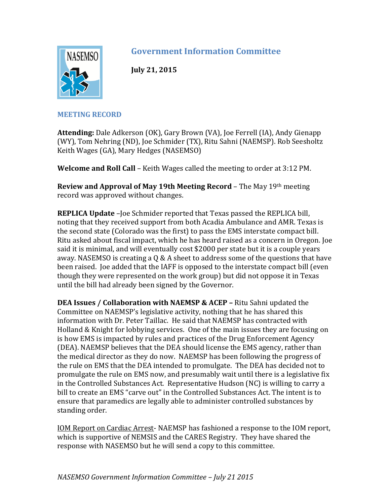

## **Government Information Committee**

**July 21, 2015**

## **MEETING RECORD**

**Attending:** Dale Adkerson (OK), Gary Brown (VA), Joe Ferrell (IA), Andy Gienapp (WY), Tom Nehring (ND), Joe Schmider (TX), Ritu Sahni (NAEMSP). Rob Seesholtz Keith Wages (GA), Mary Hedges (NASEMSO)

**Welcome and Roll Call** – Keith Wages called the meeting to order at 3:12 PM.

**Review and Approval of May 19th Meeting Record** – The May 19th meeting record was approved without changes.

**REPLICA Update** –Joe Schmider reported that Texas passed the REPLICA bill, noting that they received support from both Acadia Ambulance and AMR. Texas is the second state (Colorado was the first) to pass the EMS interstate compact bill. Ritu asked about fiscal impact, which he has heard raised as a concern in Oregon. Joe said it is minimal, and will eventually cost \$2000 per state but it is a couple years away. NASEMSO is creating a Q & A sheet to address some of the questions that have been raised. Joe added that the IAFF is opposed to the interstate compact bill (even though they were represented on the work group) but did not oppose it in Texas until the bill had already been signed by the Governor.

**DEA Issues / Collaboration with NAEMSP & ACEP –** Ritu Sahni updated the Committee on NAEMSP's legislative activity, nothing that he has shared this information with Dr. Peter Taillac. He said that NAEMSP has contracted with Holland & Knight for lobbying services. One of the main issues they are focusing on is how EMS is impacted by rules and practices of the Drug Enforcement Agency (DEA). NAEMSP believes that the DEA should license the EMS agency, rather than the medical director as they do now. NAEMSP has been following the progress of the rule on EMS that the DEA intended to promulgate. The DEA has decided not to promulgate the rule on EMS now, and presumably wait until there is a legislative fix in the Controlled Substances Act. Representative Hudson (NC) is willing to carry a bill to create an EMS "carve out" in the Controlled Substances Act. The intent is to ensure that paramedics are legally able to administer controlled substances by standing order.

IOM Report on Cardiac Arrest- NAEMSP has fashioned a response to the IOM report, which is supportive of NEMSIS and the CARES Registry. They have shared the response with NASEMSO but he will send a copy to this committee.